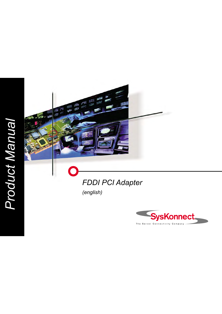# *Product Manual*Product Manual



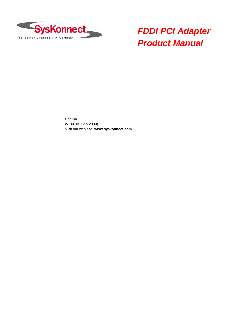

# *FDDI PCI Adapter Product Manual*

English (v1.00 05-Sep-2000) Visit our web site: **www.syskonnect.com**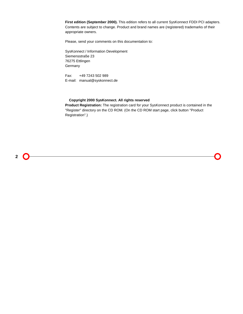**First edition (September 2000).** This edition refers to all current SysKonnect FDDI PCI adapters. Contents are subject to change. Product and brand names are (registered) trademarks of their appropriate owners.

Please, send your comments on this documentation to:

SysKonnect / Information Development Siemensstraße 23 76275 Ettlingen Germany

Fax: +49 7243 502 989 E-mail: manual@syskonnect.de

### **Copyright 2000 SysKonnect. All rights reserved**

**Product Registration:** The registration card for your SysKonnect product is contained in the "Register" directory on the CD ROM. (On the CD ROM start page, click button "Product Registration".)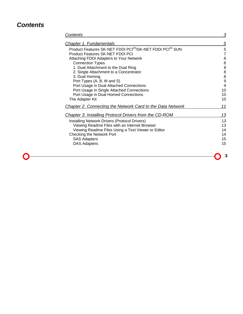# *Contents*

| <b>Contents</b>                                                                   | 3              |
|-----------------------------------------------------------------------------------|----------------|
| Chapter 1. Fundamentals                                                           | 5              |
| Product Features SK-NET FDDI PCI <sup>64</sup> /SK-NET FDDI PCI <sup>64</sup> SUN | 5              |
| <b>Product Features SK-NET FDDI PCI</b>                                           | $\overline{7}$ |
| Attaching FDDI Adapters to Your Network                                           | 88889          |
| <b>Connection Types</b>                                                           |                |
| 1. Dual Attachment to the Dual Ring                                               |                |
| 2. Single Attachment to a Concentrator                                            |                |
| 3. Dual Homing                                                                    |                |
| Port Types (A, B, M and S)                                                        |                |
| Port Usage in Dual Attached Connections                                           | 9              |
| Port Usage in Single Attached Connections                                         | 10             |
| Port Usage in Dual Homed Connections                                              | 10             |
| The Adapter Kit                                                                   | 10             |
| <b>Chapter 2. Connecting the Network Card to the Data Network</b>                 | 11             |
| Chapter 3. Installing Protocol Drivers from the CD-ROM                            | 13             |
| Installing Network Drivers (Protocol Drivers)                                     | 13             |
| Viewing Readme Files with an Internet Browser                                     | 13             |
| Viewing Readme Files Using a Text Viewer or Editor                                | 14             |
| <b>Checking the Network Port</b>                                                  | 14             |
| <b>SAS Adapters</b>                                                               | 15             |
| <b>DAS Adapters</b>                                                               | 15             |
|                                                                                   |                |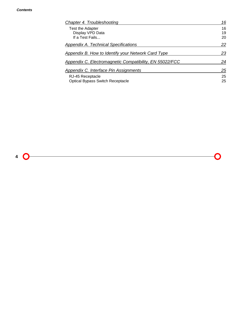### *Contents*

| <b>Chapter 4. Troubleshooting</b>                         | 16 |
|-----------------------------------------------------------|----|
| Test the Adapter                                          | 16 |
| Display VPD Data                                          | 19 |
| If a Test Fails                                           | 20 |
| Appendix A. Technical Specifications                      | 22 |
| <b>Appendix B. How to Identify your Network Card Type</b> | 23 |
| Appendix C. Electromagnetic Compatibility, EN 55022/FCC   | 24 |
| Appendix C. Interface Pin Assignments                     | 25 |
| RJ-45 Receptacle                                          | 25 |
| <b>Optical Bypass Switch Receptacle</b>                   | 25 |
|                                                           |    |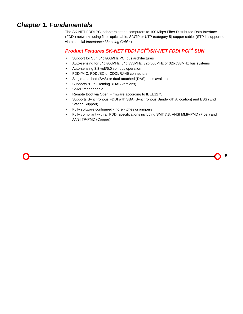# *Chapter 1. Fundamentals*

The SK-NET FDDI PCI adapters attach computers to 100 Mbps Fiber Distributed Data Interface (FDDI) networks using fiber-optic cable, S/UTP or UTP (category 5) copper cable. (STP is supported via a special *Impedance Matching Cable*.)

# *Product Features SK-NET FDDI PCI64/SK-NET FDDI PCI64 SUN*

- Support for Sun 64bit/66MHz PCI bus architectures
- Auto-sensing for 64bit/66MHz, 64bit/33MHz, 32bit/66MHz or 32bit/33MHz bus systems
- Auto-sensing 3.3 volt/5.0 volt bus operation
- FDDI/MIC, FDDI/SC or CDDI/RJ-45 connectors
- Single-attached (SAS) or dual-attached (DAS) units available
- Supports "Dual-Homing" (DAS versions)
- SNMP manageable
- Remote Boot via Open Firmware according to IEEE1275
- Supports Synchronous FDDI with SBA (Synchronous Bandwidth Allocation) and ESS (End Station Support)
- Fully software configured no switches or jumpers
- Fully compliant with all FDDI specifications including SMT 7.3, ANSI MMF-PMD (Fiber) and ANSI TP-PMD (Copper)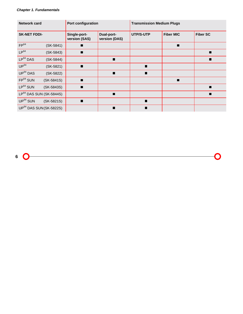| <b>Network card</b>                |              | Port configuration            |                             | <b>Transmission Medium Plugs</b> |                  |                 |
|------------------------------------|--------------|-------------------------------|-----------------------------|----------------------------------|------------------|-----------------|
| <b>SK-NET FDDI-</b>                |              | Single-port-<br>version (SAS) | Dual-port-<br>version (DAS) | UTP/S-UTP                        | <b>Fiber MIC</b> | <b>Fiber SC</b> |
| FP <sup>64</sup>                   | $(SK-5841)$  |                               |                             |                                  | п                |                 |
| $LP^{64}$                          | $(SK-5843)$  |                               |                             |                                  |                  |                 |
| $LP^{64}$ DAS                      | $(SK-5844)$  |                               | п                           |                                  |                  |                 |
| $UP^{64}$                          | $(SK-5821)$  | $\blacksquare$                |                             | п                                |                  |                 |
| $UP^{64}$ DAS                      | $(SK-5822)$  |                               | $\blacksquare$              | $\blacksquare$                   |                  |                 |
| FP <sup>64</sup> SUN               | $(SK-5841S)$ | $\blacksquare$                |                             |                                  | $\blacksquare$   |                 |
| $LP^{64}$ SUN                      | (SK-5843S)   |                               |                             |                                  |                  |                 |
| $LP^{64}$ DAS SUN (SK-5844S)       |              |                               | п                           |                                  |                  |                 |
| $UP^{64}$ SUN                      | $(SK-5821S)$ | $\blacksquare$                |                             | ▬                                |                  |                 |
| UP <sup>64</sup> DAS SUN(SK-5822S) |              |                               | ■                           |                                  |                  |                 |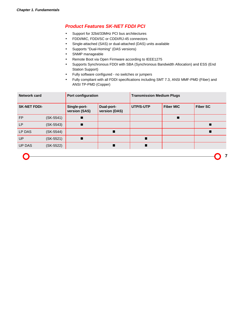### *Product Features SK-NET FDDI PCI*

- Support for 32bit/33MHz PCI bus architectures
- FDDI/MIC, FDDI/SC or CDDI/RJ-45 connectors
- Single-attached (SAS) or dual-attached (DAS) units available
- Supports "Dual-Homing" (DAS versions)
- SNMP manageable
- Remote Boot via Open Firmware according to IEEE1275
- Supports Synchronous FDDI with SBA (Synchronous Bandwidth Allocation) and ESS (End Station Support)
- Fully software configured no switches or jumpers
- Fully compliant with all FDDI specifications including SMT 7.3, ANSI MMF-PMD (Fiber) and ANSI TP-PMD (Copper)

| <b>Network card</b> |             | Port configuration            |                             | <b>Transmission Medium Plugs</b> |                  |                 |
|---------------------|-------------|-------------------------------|-----------------------------|----------------------------------|------------------|-----------------|
| <b>SK-NET FDDI-</b> |             | Single-port-<br>version (SAS) | Dual-port-<br>version (DAS) | UTP/S-UTP                        | <b>Fiber MIC</b> | <b>Fiber SC</b> |
| <b>FP</b>           | $(SK-5541)$ |                               |                             |                                  |                  |                 |
| <b>LP</b>           | $(SK-5543)$ |                               |                             |                                  |                  |                 |
| LP DAS              | (SK-5544)   |                               |                             |                                  |                  |                 |
| <b>UP</b>           | $(SK-5521)$ |                               |                             | ш                                |                  |                 |
| <b>UP DAS</b>       | (SK-5522)   |                               |                             |                                  |                  |                 |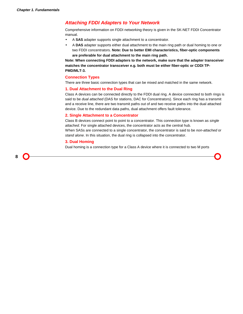### *Attaching FDDI Adapters to Your Network*

Comprehensive information on FDDI networking theory is given in the SK-NET FDDI Concentrator manual.

- A **SAS** adapter supports single attachment to a concentrator.
- A **DAS** adapter supports either dual attachment to the main ring path or dual homing to one or two FDDI concentrators. **Note: Due to better EMI characteristics, fiber-optic components are preferable for dual attachment to the main ring path.**

**Note: When connecting FDDI adapters to the network, make sure that the adapter transceiver matches the concentrator transceiver e.g. both must be either fiber-optic or CDDI TP-PMD/MLT-3.**

### **Connection Types**

There are three basic connection types that can be mixed and matched in the same network.

### **1. Dual Attachment to the Dual Ring**

Class A devices can be connected directly to the FDDI dual ring. A device connected to both rings is said to be *dual attached* (DAS for stations, DAC for Concentrators). Since each ring has a transmit and a receive line, there are two transmit paths out of and two receive paths into the dual attached device. Due to the redundant data paths, dual attachment offers fault tolerance.

### **2. Single Attachment to a Concentrator**

Class B devices connect point to point to a concentrator. This connection type is known as *single attached*. For single attached devices, the concentrator acts as the central hub.

When SASs are connected to a single concentrator, the concentrator is said to be *non-attached* or *stand alone*. In this situation, the dual ring is collapsed into the concentrator.

### **3. Dual Homing**

Dual homing is a connection type for a Class A device where it is connected to two M ports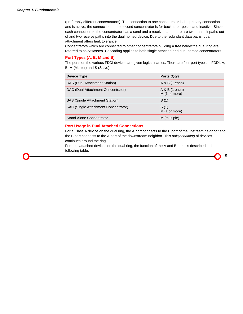(preferably different concentrators). The connection to one concentrator is the primary connection and is active; the connection to the second concentrator is for backup purposes and inactive. Since each connection to the concentrator has a send and a receive path, there are two transmit paths out of and two receive paths into the dual homed device. Due to the redundant data paths, dual attachment offers fault tolerance.

Concentrators which are connected to other concentrators building a tree below the dual ring are referred to as *cascaded*. Cascading applies to both single attached and dual homed concentrators.

### **Port Types (A, B, M and S)**

The ports on the various FDDI devices are given logical names. There are four port types in FDDI: A, B, M (Master) and S (Slave).

| Device Type                          | Ports (Qty)                     |
|--------------------------------------|---------------------------------|
| DAS (Dual Attachment Station)        | A & B (1 each)                  |
| DAC (Dual Attachment Concentrator)   | A & B (1 each)<br>M (1 or more) |
| SAS (Single Attachment Station)      | S(1)                            |
| SAC (Single Attachment Concentrator) | S(1)<br>M (1 or more)           |
| <b>Stand Alone Concentrator</b>      | M (multiple)                    |

### **Port Usage in Dual Attached Connections**

For a Class A device on the dual ring, the A port connects to the B port of the upstream neighbor and the B port connects to the A port of the downstream neighbor. This *daisy chaining* of devices continues around the ring.

For dual attached devices on the dual ring, the function of the A and B ports is described in the following table.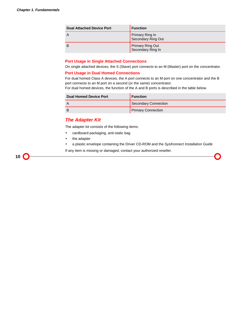| <b>Dual Attached Device Port</b> | <b>Function</b>                       |
|----------------------------------|---------------------------------------|
| $\overline{A}$                   | Primary Ring In<br>Secondary Ring Out |
| B                                | Primary Ring Out<br>Secondary Ring In |

### **Port Usage in Single Attached Connections**

On single attached devices, the S (Slave) port connects to an M (Master) port on the concentrator.

### **Port Usage in Dual Homed Connections**

For dual homed Class A devices, the A port connects to an M port on one concentrator and the B port connects to an M port on a second (or the same) concentrator.

For dual homed devices, the function of the A and B ports is described in the table below.

| <b>Dual Homed Device Port</b> | <b>Function</b>             |
|-------------------------------|-----------------------------|
|                               | <b>Secondary Connection</b> |
| B                             | <b>Primary Connection</b>   |

### *The Adapter Kit*

The adapter kit consists of the following items:

- cardboard packaging, anti-static bag
- the adapter
- a plastic envelope containing the Driver CD-ROM and the *SysKonnect Installation Guide*

If any item is missing or damaged, contact your authorized reseller.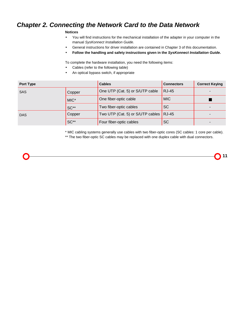# *Chapter 2. Connecting the Network Card to the Data Network*

### **Notices**

- You will find instructions for the mechanical installation of the adapter in your computer in the manual *SysKonnect Installation Guide.*
- General instructions for driver installation are contained in Chapter 3 of this documentation.
- **Follow the handling and safety instructions given in the** *SysKonnect Installation Guide***.**

To complete the hardware installation, you need the following items:

- Cables (refer to the following table)
- An optical bypass switch, if appropriate

| <b>Port Type</b> |        | <b>Cables</b>                            | <b>Connectors</b> | <b>Correct Keying</b> |
|------------------|--------|------------------------------------------|-------------------|-----------------------|
| <b>SAS</b>       | Copper | One UTP (Cat. 5) or S/UTP cable          | <b>RJ-45</b>      |                       |
|                  | MIC*   | One fiber-optic cable                    | <b>MIC</b>        |                       |
|                  | $SC**$ | Two fiber-optic cables                   | <b>SC</b>         |                       |
| <b>DAS</b>       | Copper | Two UTP (Cat. 5) or S/UTP cables $RJ-45$ |                   |                       |
|                  | SC**   | Four fiber-optic cables                  | <b>SC</b>         |                       |

\* MIC cabling systems generally use cables with two fiber-optic cores (SC cables: 1 core per cable).

\*\* The two fiber-optic SC cables may be replaced with one duplex cable with dual connectors.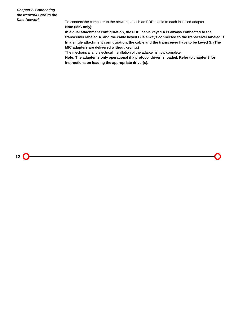*Chapter 2. Connecting the Network Card to the Data Network*

To connect the computer to the network, attach an FDDI cable to each installed adapter. **Note (MIC only):**

**In a dual attachment configuration, the FDDI cable keyed A is always connected to the transceiver labeled A, and the cable keyed B is always connected to the transceiver labeled B. In a single attachment configuration, the cable and the transceiver have to be keyed S. (The MIC adapters are delivered without keying.)**

The mechanical and electrical installation of the adapter is now complete.

**Note: The adapter is only operational if a protocol driver is loaded. Refer to chapter 3 for instructions on loading the appropriate driver(s).**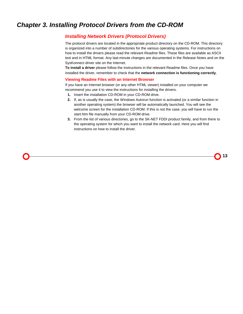# *Chapter 3. Installing Protocol Drivers from the CD-ROM*

### *Installing Network Drivers (Protocol Drivers)*

The protocol drivers are located in the appropriate product directory on the CD-ROM. This directory is organized into a number of subdirectories for the various operating systems. For instructions on how to install the drivers please read the relevant *Readme* files. These files are available as ASCII text and in HTML format. Any last-minute changes are documented in the Release Notes and on the SysKonnect driver site on the Internet.

**To install a driver** please follow the instructions in the relevant Readme files. Once you have installed the driver, remember to check that the **network connection is functioning correctly.**

### **Viewing Readme Files with an Internet Browser**

If you have an Internet browser (or any other HTML viewer) installed on your computer we recommend you use it to view the instructions for installing the drivers.

- **1.** Insert the installation CD-ROM in your CD-ROM drive.
- **2.** If, as is usually the case, the Windows Autorun function is activated (or a similar function in another operating system) the browser will be automatically launched. You will see the welcome screen for the installation CD-ROM. If this is not the case, you will have to run the *start.htm* file manually from your CD-ROM drive.
- **3.** From the list of various directories, go to the SK-NET FDDI product family, and from there to the operating system for which you want to install the network card. Here you will find instructions on how to install the driver.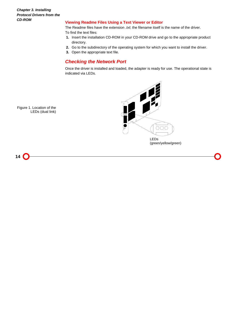*Chapter 3. Installing Protocol Drivers from the CD-ROM*

### **Viewing Readme Files Using a Text Viewer or Editor**

The Readme files have the extension *.txt*; the filename itself is the name of the driver. To find the text files:

- **1.** Insert the installation CD-ROM in your CD-ROM drive and go to the appropriate product directory.
- **2.** Go to the subdirectory of the operating system for which you want to install the driver.
- **3.** Open the appropriate text file.

## *Checking the Network Port*

Once the driver is installed and loaded, the adapter is ready for use. The operational state is indicated via LEDs.



Figure 1. Location of the LEDs (dual link)

**14**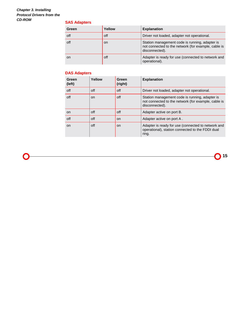### *Chapter 3. Installing Protocol Drivers from the CD-ROM*

### **SAS Adapters**

| Green | Yellow | <b>Explanation</b>                                                                                                      |
|-------|--------|-------------------------------------------------------------------------------------------------------------------------|
| off   | off    | Driver not loaded, adapter not operational.                                                                             |
| off   | on     | Station management code is running, adapter is<br>not connected to the network (for example, cable is<br>disconnected). |
| on    | off    | Adapter is ready for use (connected to network and<br>operational).                                                     |

### **DAS Adapters**

| Green<br>(left) | Yellow | Green<br>(right) | <b>Explanation</b>                                                                                                      |
|-----------------|--------|------------------|-------------------------------------------------------------------------------------------------------------------------|
| off             | off    | off              | Driver not loaded, adapter not operational.                                                                             |
| off             | on.    | off              | Station management code is running, adapter is<br>not connected to the network (for example, cable is<br>disconnected). |
| <b>on</b>       | off    | off              | Adapter active on port B.                                                                                               |
| off             | off    | on               | Adapter active on port A.                                                                                               |
| <b>on</b>       | off    | on               | Adapter is ready for use (connected to network and<br>operational), station connected to the FDDI dual<br>ring.         |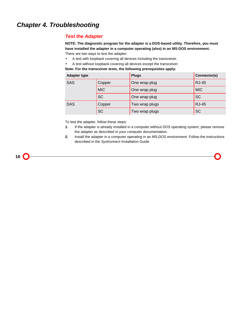### *Test the Adapter*

**NOTE: The diagnostic program for the adapter is a DOS-based utility. Therefore, you must have installed the adapter in a computer operating (also) in an MS-DOS environment.** There are two ways to test the adapter:

- A test with loopback covering all devices including the transceiver.
- A test without loopback covering all devices except the transceiver.

| <b>Adapter type</b> |            | <b>Plugs</b>   | Connector(s) |
|---------------------|------------|----------------|--------------|
| <b>SAS</b>          | Copper     | One wrap plug  | <b>RJ-45</b> |
|                     | <b>MIC</b> | One wrap plug  | <b>MIC</b>   |
|                     | <b>SC</b>  | One wrap plug  | <b>SC</b>    |
| <b>DAS</b>          | Copper     | Two wrap plugs | <b>RJ-45</b> |
|                     | <b>SC</b>  | Two wrap plugs | <b>SC</b>    |

**Note: For the transceiver tests, the following prerequisites apply:**

To test the adapter, follow these steps:

- **1.** If the adapter is already installed in a computer without DOS operating system, please remove the adapter as described in your computer documentation.
- **2.** Install the adapter in a computer operating in an *MS-DOS* environment. Follow the instructions described in the *SysKonnect Installation Guide.*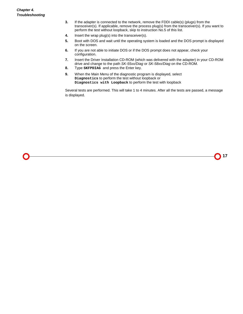- **3.** If the adapter is connected to the network, remove the FDDI cable(s) (plugs) from the transceiver(s). If applicable, remove the process plug(s) from the transceiver(s). If you want to perform the test without loopback, skip to instruction No.5 of this list.
- **4.** Insert the wrap plug(s) into the transceiver(s).
- **5.** Boot with DOS and wait until the operating system is loaded and the DOS prompt is displayed on the screen.
- **6.** If you are not able to initiate DOS or if the DOS prompt does not appear, check your configuration.
- **7.** Insert the Driver Installation CD-ROM (which was delivered with the adapter) in your CD-ROM drive and change to the path *SK-55xx/Diag* or *SK-58xx/Diag* on the CD-ROM.
- **8.** Type **SKFPDIAG** and press the Enter key.
- **9.** When the Main Menu of the diagnostic program is displayed, select **Diagnostics** to perform the test without loopback or **Diagnostics with Loopback** to perform the test with loopback

Several tests are performed. This will take 1 to 4 minutes. After all the tests are passed, a message is displayed.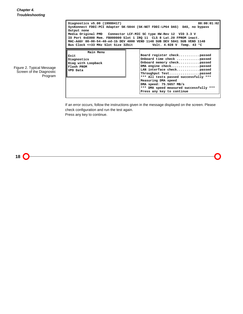|                                                                  | 00:00:01:02<br>Diagnostics v5.00 (19980417)<br>SysKonnect FDDI-PCI Adapter SK-5844 (SK-NET FDDI-LP64 DAS) DAS, no bypass<br>Output none<br>IO Port 0xE000 Mem. FB000000 Slot 1 IRQ 11 CLS 8 Lat.20 FPROM inact.<br>MAC-Addr 00-00-54-40-ed-1b DEV 4000 VEND 1148 SUB DEV 5841 SUB VEND 1148<br>Bus Clock <= 33 MHz Slot Size 32bit Volt. 4.928 V Temp. 43 °C |                                                                             |                                                                                                                                                                                                                                                           |  |  |  |
|------------------------------------------------------------------|--------------------------------------------------------------------------------------------------------------------------------------------------------------------------------------------------------------------------------------------------------------------------------------------------------------------------------------------------------------|-----------------------------------------------------------------------------|-----------------------------------------------------------------------------------------------------------------------------------------------------------------------------------------------------------------------------------------------------------|--|--|--|
| Figure 2. Typical Message<br>Screen of the Diagnostic<br>Program | Main Menu<br>Exit<br>Diagnostics<br>Diag with Loopback<br>Flash PROM<br>VPD Data                                                                                                                                                                                                                                                                             | Measuring DMA speed<br>DMA speed: 75.5657 MB/s<br>Press any key to continue | Board register checkpassed<br>Onboard time check passed<br>Onboard memory checkpassed<br>DMA engine checkpassed<br>LAN interface checkpassed<br>Throughput Testpassed<br>*** All tests passed successfully ***<br>*** DMA speed measured successfully *** |  |  |  |

If an error occurs, follow the instructions given in the message displayed on the screen. Please check configuration and run the test again.

Press any key to continue.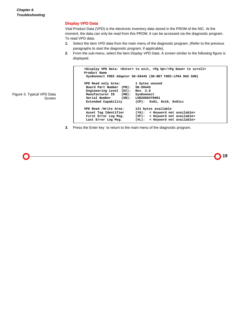### **Display VPD Data**

Vital Product Data (VPD) is the electronic inventory data stored in the PROM of the NIC. At the moment, the data can only be read from this PROM. It can be accessed via the diagnostic program. To read VPD data:

- **1.** Select the item *VPD data* from the main menu of the diagnostic program. (Refer to the previous paragraphs to start the diagnostic program, if applicable).
- **2.** From the sub-menu, select the item *Display VPD Data*. A screen similar to the following figure is displayed.

```
<Display VPD Data: <Enter> to exit, <Pg Up>/<Pg Down> to scroll>
Product Name
SysKonnect FDDI Adapter SK-5844S (SK-NET FDDI-LP64 DAS SUN)
VPD Read only Area: 1 bytes unused
 Board Part Number (PN): SK-5844S
Engineering Level (EC): Rev. 2.0
 Manufacturer ID (MN): SysKonnect
 Serial Number (SN): LUD20S8470001
 Extended Capability (CP): 0x01, 0x10, 0x01cc
VPD Read /Write Area: 121 bytes available
 Asset Tag Identifier (YA): < Keyword not available>
First Error Log Msg. (VF): < Keyword not available>
Last Error Log Msg. (VL): < Keyword not available>
```
Figure 3. Typical VPD Data Screen

**3.** Press the Enter key to return to the main menu of the diagnostic program.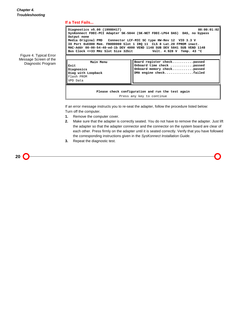### **If a Test Fails...**

| Figure 4. Typical Error<br>Message Screen of the<br>Diagnostic Program | Diagnostics v5.00 (19980417)<br>00:00:01:02<br>SysKonnect FDDI-PCI Adapter SK-5844 (SK-NET FDDI-LP64 DAS) DAS, no bypass<br>Output none<br>Media Original PMD        Connector LCF-MIC SC type HW-Rev 12          VIO 3.3 V<br>IO Port 0xE000 Mem. FB000000 Slot 1 IRQ 11 CLS 8 Lat.20 FPROM inact.<br>MAC-Addr 00-00-54-40-ed-1b DEV 4000 VEND 1148 SUB DEV 5841 SUB VEND 1148<br>Bus Clock <=33 MHz Slot Size 32bit Volt. 4.928 V Temp. 43 °C |                                                                                                                 |  |  |  |
|------------------------------------------------------------------------|-------------------------------------------------------------------------------------------------------------------------------------------------------------------------------------------------------------------------------------------------------------------------------------------------------------------------------------------------------------------------------------------------------------------------------------------------|-----------------------------------------------------------------------------------------------------------------|--|--|--|
|                                                                        | Main Menu<br>Exit<br>Diagnosics<br>Diag with Loopback<br>Flash PROM<br>VPD Data                                                                                                                                                                                                                                                                                                                                                                 | Board register checkpassed<br>Onboard time check passed<br>Onboard memory checkpassed<br>DMA engine checkfailed |  |  |  |
|                                                                        | Please check configuration and run the test again<br>Press any key to continue                                                                                                                                                                                                                                                                                                                                                                  |                                                                                                                 |  |  |  |

If an error message instructs you to re-seat the adapter, follow the procedure listed below: Turn off the computer.

- **1.** Remove the computer cover.
- **2.** Make sure that the adapter is correctly seated. You do not have to remove the adapter. Just lift the adapter so that the adapter connector and the connector on the system board are clear of each other. Press firmly on the adapter until it is seated correctly. Verify that you have followed the corresponding instructions given in the *SysKonnect Installation Guide.*
- **3.** Repeat the diagnostic test.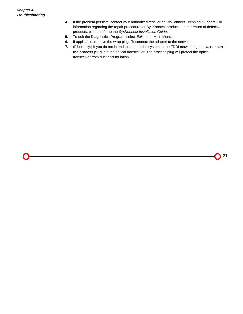- **4.** If the problem persists, contact your authorized reseller or SysKonnect Technical Support. For information regarding the repair procedure for SysKonnect products or the return of defective products, please refer to the *SysKonnect Installation Guide*.
- **5.** To quit the Diagnostics Program, select *Exit* in the Main Menu.
- **6.** If applicable, remove the wrap plug. Reconnect the adapter to the network.
- **7.** (Fiber only:) If you do not intend to connect the system to the FDDI network right now, **reinsert the process plug** into the optical transceiver. The process plug will protect the optical transceiver from dust accumulation.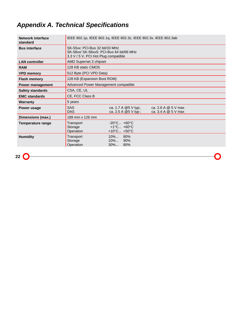# *Appendix A. Technical Specifications*

| Network interface<br>standard | IEEE 802.1p, IEEE 802.1g, IEEE 802.3z, IEEE 802.3x, IEEE 802.3ab                                                   |                                                                                                      |                                            |  |  |
|-------------------------------|--------------------------------------------------------------------------------------------------------------------|------------------------------------------------------------------------------------------------------|--------------------------------------------|--|--|
| <b>Bus interface</b>          | SK-55xx: PCI-Bus 32 bit/33 MHz<br>SK-58xx/ SK-58xxS: PCI-Bus 64 bit/66 MHz<br>3.3 V / 5 V, PCI Hot Plug compatible |                                                                                                      |                                            |  |  |
| <b>LAN controller</b>         |                                                                                                                    | AMD Supernet 3 chipset                                                                               |                                            |  |  |
| <b>RAM</b>                    | 128 KB static CMOS                                                                                                 |                                                                                                      |                                            |  |  |
| <b>VPD memory</b>             | 512 Byte (PCI VPD Data)                                                                                            |                                                                                                      |                                            |  |  |
| <b>Flash memory</b>           | 128 KB (Expansion Boot ROM)                                                                                        |                                                                                                      |                                            |  |  |
| Power management              | Advanced Power Management compatible                                                                               |                                                                                                      |                                            |  |  |
| <b>Safety standards</b>       | CSA, CE, UL                                                                                                        |                                                                                                      |                                            |  |  |
| <b>EMC</b> standards          | CE, FCC Class B                                                                                                    |                                                                                                      |                                            |  |  |
| <b>Warranty</b>               | 5 years                                                                                                            |                                                                                                      |                                            |  |  |
| Power usage                   | <b>SAS</b><br><b>DAS</b>                                                                                           | ca. 1.7 A $@5$ V typ;.<br>ca. 2.5 A $@5$ V typ;                                                      | ca. 2.6 A $@5V$ max<br>ca. 3.4 A @ 5 V max |  |  |
| Dimensions (max.)             | 189 mm x 126 mm                                                                                                    |                                                                                                      |                                            |  |  |
| <b>Temperature range</b>      | Transport<br>Storage<br>Operation                                                                                  | $-20^{\circ}$ C $+60^{\circ}$ C<br>$+1^{\circ}$ C $+60^{\circ}$ C<br>$+10^{\circ}$ C $+50^{\circ}$ C |                                            |  |  |
| <b>Humidity</b>               | Transport<br>Storage<br>Operation                                                                                  | $10\%$<br>80%<br>$10\%$<br>90%<br>30% 80%                                                            |                                            |  |  |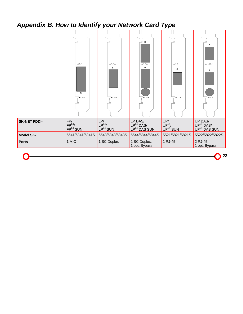# *Appendix B. How to Identify your Network Card Type*



**23**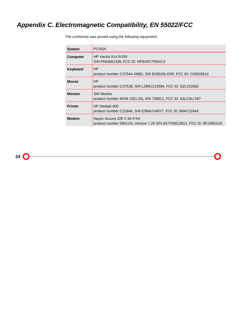# *Appendix C. Electromagnetic Compatibility, EN 55022/FCC*

The conformity was proved using the following equipment:

| <b>System</b>   | PCI/ISA                                                                                              |
|-----------------|------------------------------------------------------------------------------------------------------|
| <b>Computer</b> | HP Vectra VL4 5/100<br>S/N FR62661336; FCC ID: HPSVECTRAVL5                                          |
| Keyboard        | HP<br>product number C3754A #ABD, S/N E03633LXGR, FCC ID: CIGE03614                                  |
| <b>Mouse</b>    | HP<br>product number C3751B, S/N LZB61213594, FCC ID: DZL210582                                      |
| <b>Monitor</b>  | <b>SNI Monitor</b><br>product number MCM 1551 (N), S/N 735911, FCC ID: A3LCSU 597                    |
| <b>Printer</b>  | HP Deskiet 600<br>product number C2184A, S/N ES64U140VT, FCC ID: B94C2184X                           |
| <b>Modem</b>    | Hayes Accura 228 V.34+FAX<br>product number 5901US, Version 7.20 S/N A57759013811, FCC ID: BFJ5901US |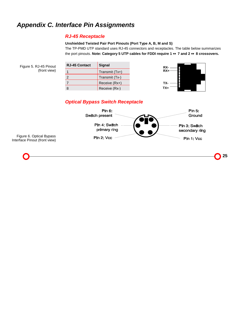# *Appendix C. Interface Pin Assignments*

### *RJ-45 Receptacle*

### **Unshielded Twisted Pair Port Pinouts (Port Type A, B, M and S)**

The TP-PMD UTP standard uses RJ-45 connectors and receptacles. The table below summarizes the port pinouts. **Note: Category 5 UTP cables for FDDI require 1** ↔ **7 and 2** ↔ **8 crossovers.**

| Figure 5. RJ-45 Pinout | <b>RJ-45 Contact</b> | <b>Signal</b>    | RX-   |
|------------------------|----------------------|------------------|-------|
| (front view)           |                      | Transmit $(Tx+)$ | $RX+$ |
|                        |                      | Transmit (Tx-)   |       |
|                        |                      | Receive (Rx+)    | TX-   |
|                        | 8                    | Receive (Rx-)    | TX+   |

## *Optical Bypass Switch Receptacle*



Figure 6. Optical Bypass Interface Pinout (front view)